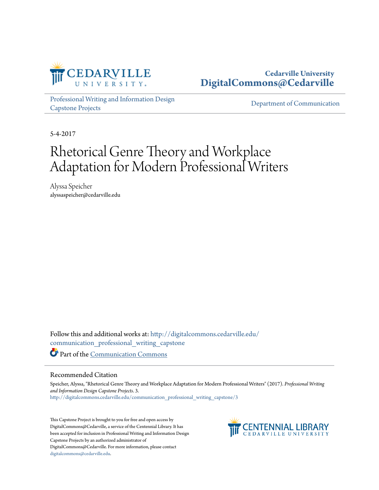

## **Cedarville University [DigitalCommons@Cedarville](http://digitalcommons.cedarville.edu?utm_source=digitalcommons.cedarville.edu%2Fcommunication_professional_writing_capstone%2F3&utm_medium=PDF&utm_campaign=PDFCoverPages)**

[Professional Writing and Information Design](http://digitalcommons.cedarville.edu/communication_professional_writing_capstone?utm_source=digitalcommons.cedarville.edu%2Fcommunication_professional_writing_capstone%2F3&utm_medium=PDF&utm_campaign=PDFCoverPages) [Capstone Projects](http://digitalcommons.cedarville.edu/communication_professional_writing_capstone?utm_source=digitalcommons.cedarville.edu%2Fcommunication_professional_writing_capstone%2F3&utm_medium=PDF&utm_campaign=PDFCoverPages)

[Department of Communication](http://digitalcommons.cedarville.edu/media_and_applied_communications?utm_source=digitalcommons.cedarville.edu%2Fcommunication_professional_writing_capstone%2F3&utm_medium=PDF&utm_campaign=PDFCoverPages)

5-4-2017

# Rhetorical Genre Theory and Workplace Adaptation for Modern Professional Writers

Alyssa Speicher alyssaspeicher@cedarville.edu

Follow this and additional works at: [http://digitalcommons.cedarville.edu/](http://digitalcommons.cedarville.edu/communication_professional_writing_capstone?utm_source=digitalcommons.cedarville.edu%2Fcommunication_professional_writing_capstone%2F3&utm_medium=PDF&utm_campaign=PDFCoverPages) [communication\\_professional\\_writing\\_capstone](http://digitalcommons.cedarville.edu/communication_professional_writing_capstone?utm_source=digitalcommons.cedarville.edu%2Fcommunication_professional_writing_capstone%2F3&utm_medium=PDF&utm_campaign=PDFCoverPages) Part of the [Communication Commons](http://network.bepress.com/hgg/discipline/325?utm_source=digitalcommons.cedarville.edu%2Fcommunication_professional_writing_capstone%2F3&utm_medium=PDF&utm_campaign=PDFCoverPages)

#### Recommended Citation

Speicher, Alyssa, "Rhetorical Genre Theory and Workplace Adaptation for Modern Professional Writers" (2017). *Professional Writing and Information Design Capstone Projects*. 3. [http://digitalcommons.cedarville.edu/communication\\_professional\\_writing\\_capstone/3](http://digitalcommons.cedarville.edu/communication_professional_writing_capstone/3?utm_source=digitalcommons.cedarville.edu%2Fcommunication_professional_writing_capstone%2F3&utm_medium=PDF&utm_campaign=PDFCoverPages)

This Capstone Project is brought to you for free and open access by DigitalCommons@Cedarville, a service of the Centennial Library. It has been accepted for inclusion in Professional Writing and Information Design Capstone Projects by an authorized administrator of DigitalCommons@Cedarville. For more information, please contact [digitalcommons@cedarville.edu](mailto:digitalcommons@cedarville.edu).

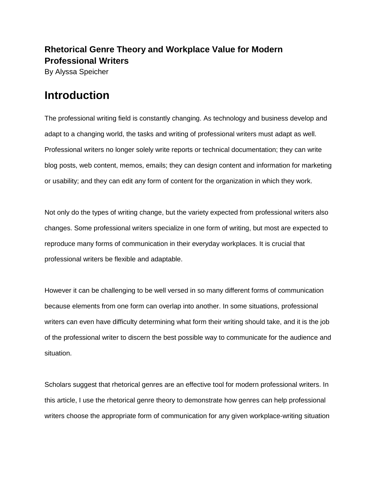## **Rhetorical Genre Theory and Workplace Value for Modern Professional Writers**

By Alyssa Speicher

## **Introduction**

The professional writing field is constantly changing. As technology and business develop and adapt to a changing world, the tasks and writing of professional writers must adapt as well. Professional writers no longer solely write reports or technical documentation; they can write blog posts, web content, memos, emails; they can design content and information for marketing or usability; and they can edit any form of content for the organization in which they work.

Not only do the types of writing change, but the variety expected from professional writers also changes. Some professional writers specialize in one form of writing, but most are expected to reproduce many forms of communication in their everyday workplaces. It is crucial that professional writers be flexible and adaptable.

However it can be challenging to be well versed in so many different forms of communication because elements from one form can overlap into another. In some situations, professional writers can even have difficulty determining what form their writing should take, and it is the job of the professional writer to discern the best possible way to communicate for the audience and situation.

Scholars suggest that rhetorical genres are an effective tool for modern professional writers. In this article, I use the rhetorical genre theory to demonstrate how genres can help professional writers choose the appropriate form of communication for any given workplace-writing situation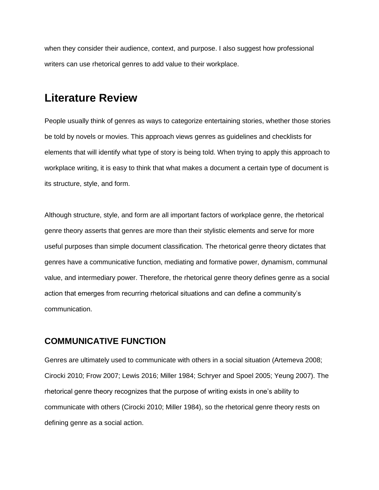when they consider their audience, context, and purpose. I also suggest how professional writers can use rhetorical genres to add value to their workplace.

## **Literature Review**

People usually think of genres as ways to categorize entertaining stories, whether those stories be told by novels or movies. This approach views genres as guidelines and checklists for elements that will identify what type of story is being told. When trying to apply this approach to workplace writing, it is easy to think that what makes a document a certain type of document is its structure, style, and form.

Although structure, style, and form are all important factors of workplace genre, the rhetorical genre theory asserts that genres are more than their stylistic elements and serve for more useful purposes than simple document classification. The rhetorical genre theory dictates that genres have a communicative function, mediating and formative power, dynamism, communal value, and intermediary power. Therefore, the rhetorical genre theory defines genre as a social action that emerges from recurring rhetorical situations and can define a community's communication.

## **COMMUNICATIVE FUNCTION**

Genres are ultimately used to communicate with others in a social situation (Artemeva 2008; Cirocki 2010; Frow 2007; Lewis 2016; Miller 1984; Schryer and Spoel 2005; Yeung 2007). The rhetorical genre theory recognizes that the purpose of writing exists in one's ability to communicate with others (Cirocki 2010; Miller 1984), so the rhetorical genre theory rests on defining genre as a social action.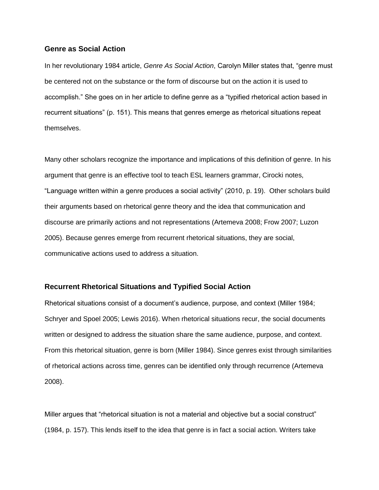#### **Genre as Social Action**

In her revolutionary 1984 article, *Genre As Social Action*, Carolyn Miller states that, "genre must be centered not on the substance or the form of discourse but on the action it is used to accomplish." She goes on in her article to define genre as a "typified rhetorical action based in recurrent situations" (p. 151). This means that genres emerge as rhetorical situations repeat themselves.

Many other scholars recognize the importance and implications of this definition of genre. In his argument that genre is an effective tool to teach ESL learners grammar, Cirocki notes, "Language written within a genre produces a social activity" (2010, p. 19). Other scholars build their arguments based on rhetorical genre theory and the idea that communication and discourse are primarily actions and not representations (Artemeva 2008; Frow 2007; Luzon 2005). Because genres emerge from recurrent rhetorical situations, they are social, communicative actions used to address a situation.

#### **Recurrent Rhetorical Situations and Typified Social Action**

Rhetorical situations consist of a document's audience, purpose, and context (Miller 1984; Schryer and Spoel 2005; Lewis 2016). When rhetorical situations recur, the social documents written or designed to address the situation share the same audience, purpose, and context. From this rhetorical situation, genre is born (Miller 1984). Since genres exist through similarities of rhetorical actions across time, genres can be identified only through recurrence (Artemeva 2008).

Miller argues that "rhetorical situation is not a material and objective but a social construct" (1984, p. 157). This lends itself to the idea that genre is in fact a social action. Writers take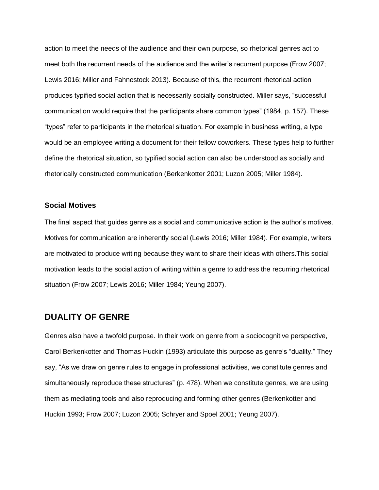action to meet the needs of the audience and their own purpose, so rhetorical genres act to meet both the recurrent needs of the audience and the writer's recurrent purpose (Frow 2007; Lewis 2016; Miller and Fahnestock 2013). Because of this, the recurrent rhetorical action produces typified social action that is necessarily socially constructed. Miller says, "successful communication would require that the participants share common types" (1984, p. 157). These "types" refer to participants in the rhetorical situation. For example in business writing, a type would be an employee writing a document for their fellow coworkers. These types help to further define the rhetorical situation, so typified social action can also be understood as socially and rhetorically constructed communication (Berkenkotter 2001; Luzon 2005; Miller 1984).

#### **Social Motives**

The final aspect that guides genre as a social and communicative action is the author's motives. Motives for communication are inherently social (Lewis 2016; Miller 1984). For example, writers are motivated to produce writing because they want to share their ideas with others.This social motivation leads to the social action of writing within a genre to address the recurring rhetorical situation (Frow 2007; Lewis 2016; Miller 1984; Yeung 2007).

### **DUALITY OF GENRE**

Genres also have a twofold purpose. In their work on genre from a sociocognitive perspective, Carol Berkenkotter and Thomas Huckin (1993) articulate this purpose as genre's "duality." They say, "As we draw on genre rules to engage in professional activities, we constitute genres and simultaneously reproduce these structures" (p. 478). When we constitute genres, we are using them as mediating tools and also reproducing and forming other genres (Berkenkotter and Huckin 1993; Frow 2007; Luzon 2005; Schryer and Spoel 2001; Yeung 2007).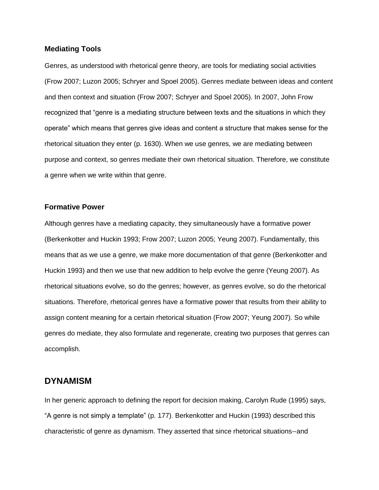#### **Mediating Tools**

Genres, as understood with rhetorical genre theory, are tools for mediating social activities (Frow 2007; Luzon 2005; Schryer and Spoel 2005). Genres mediate between ideas and content and then context and situation (Frow 2007; Schryer and Spoel 2005). In 2007, John Frow recognized that "genre is a mediating structure between texts and the situations in which they operate" which means that genres give ideas and content a structure that makes sense for the rhetorical situation they enter (p. 1630). When we use genres, we are mediating between purpose and context, so genres mediate their own rhetorical situation. Therefore, we constitute a genre when we write within that genre.

#### **Formative Power**

Although genres have a mediating capacity, they simultaneously have a formative power (Berkenkotter and Huckin 1993; Frow 2007; Luzon 2005; Yeung 2007). Fundamentally, this means that as we use a genre, we make more documentation of that genre (Berkenkotter and Huckin 1993) and then we use that new addition to help evolve the genre (Yeung 2007). As rhetorical situations evolve, so do the genres; however, as genres evolve, so do the rhetorical situations. Therefore, rhetorical genres have a formative power that results from their ability to assign content meaning for a certain rhetorical situation (Frow 2007; Yeung 2007). So while genres do mediate, they also formulate and regenerate, creating two purposes that genres can accomplish.

### **DYNAMISM**

In her generic approach to defining the report for decision making, Carolyn Rude (1995) says, "A genre is not simply a template" (p. 177). Berkenkotter and Huckin (1993) described this characteristic of genre as dynamism. They asserted that since rhetorical situations--and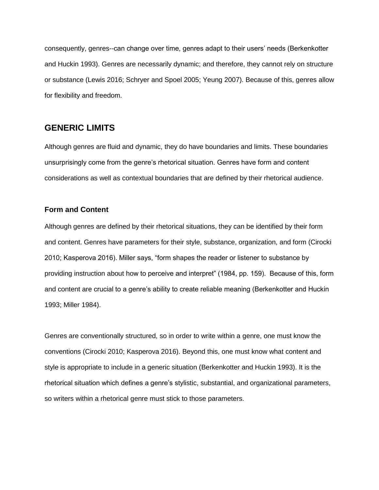consequently, genres--can change over time, genres adapt to their users' needs (Berkenkotter and Huckin 1993). Genres are necessarily dynamic; and therefore, they cannot rely on structure or substance (Lewis 2016; Schryer and Spoel 2005; Yeung 2007). Because of this, genres allow for flexibility and freedom.

## **GENERIC LIMITS**

Although genres are fluid and dynamic, they do have boundaries and limits. These boundaries unsurprisingly come from the genre's rhetorical situation. Genres have form and content considerations as well as contextual boundaries that are defined by their rhetorical audience.

#### **Form and Content**

Although genres are defined by their rhetorical situations, they can be identified by their form and content. Genres have parameters for their style, substance, organization, and form (Cirocki 2010; Kasperova 2016). Miller says, "form shapes the reader or listener to substance by providing instruction about how to perceive and interpret" (1984, pp. 159). Because of this, form and content are crucial to a genre's ability to create reliable meaning (Berkenkotter and Huckin 1993; Miller 1984).

Genres are conventionally structured, so in order to write within a genre, one must know the conventions (Cirocki 2010; Kasperova 2016). Beyond this, one must know what content and style is appropriate to include in a generic situation (Berkenkotter and Huckin 1993). It is the rhetorical situation which defines a genre's stylistic, substantial, and organizational parameters, so writers within a rhetorical genre must stick to those parameters.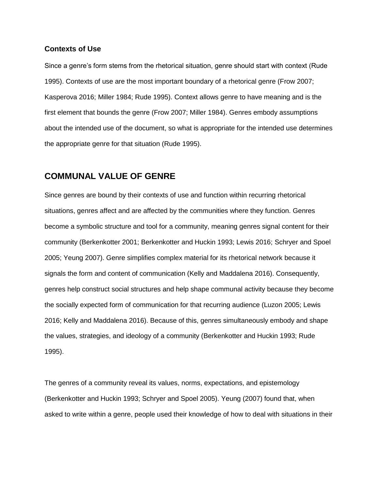#### **Contexts of Use**

Since a genre's form stems from the rhetorical situation, genre should start with context (Rude 1995). Contexts of use are the most important boundary of a rhetorical genre (Frow 2007; Kasperova 2016; Miller 1984; Rude 1995). Context allows genre to have meaning and is the first element that bounds the genre (Frow 2007; Miller 1984). Genres embody assumptions about the intended use of the document, so what is appropriate for the intended use determines the appropriate genre for that situation (Rude 1995).

### **COMMUNAL VALUE OF GENRE**

Since genres are bound by their contexts of use and function within recurring rhetorical situations, genres affect and are affected by the communities where they function. Genres become a symbolic structure and tool for a community, meaning genres signal content for their community (Berkenkotter 2001; Berkenkotter and Huckin 1993; Lewis 2016; Schryer and Spoel 2005; Yeung 2007). Genre simplifies complex material for its rhetorical network because it signals the form and content of communication (Kelly and Maddalena 2016). Consequently, genres help construct social structures and help shape communal activity because they become the socially expected form of communication for that recurring audience (Luzon 2005; Lewis 2016; Kelly and Maddalena 2016). Because of this, genres simultaneously embody and shape the values, strategies, and ideology of a community (Berkenkotter and Huckin 1993; Rude 1995).

The genres of a community reveal its values, norms, expectations, and epistemology (Berkenkotter and Huckin 1993; Schryer and Spoel 2005). Yeung (2007) found that, when asked to write within a genre, people used their knowledge of how to deal with situations in their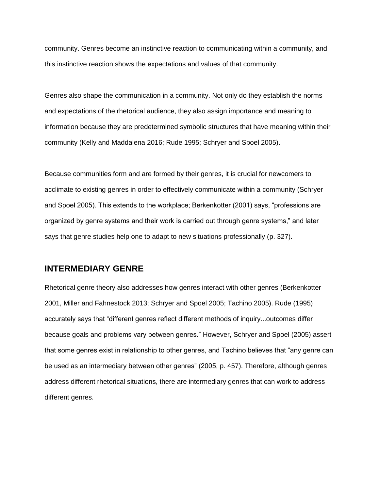community. Genres become an instinctive reaction to communicating within a community, and this instinctive reaction shows the expectations and values of that community.

Genres also shape the communication in a community. Not only do they establish the norms and expectations of the rhetorical audience, they also assign importance and meaning to information because they are predetermined symbolic structures that have meaning within their community (Kelly and Maddalena 2016; Rude 1995; Schryer and Spoel 2005).

Because communities form and are formed by their genres, it is crucial for newcomers to acclimate to existing genres in order to effectively communicate within a community (Schryer and Spoel 2005). This extends to the workplace; Berkenkotter (2001) says, "professions are organized by genre systems and their work is carried out through genre systems," and later says that genre studies help one to adapt to new situations professionally (p. 327).

### **INTERMEDIARY GENRE**

Rhetorical genre theory also addresses how genres interact with other genres (Berkenkotter 2001, Miller and Fahnestock 2013; Schryer and Spoel 2005; Tachino 2005). Rude (1995) accurately says that "different genres reflect different methods of inquiry...outcomes differ because goals and problems vary between genres." However, Schryer and Spoel (2005) assert that some genres exist in relationship to other genres, and Tachino believes that "any genre can be used as an intermediary between other genres" (2005, p. 457). Therefore, although genres address different rhetorical situations, there are intermediary genres that can work to address different genres.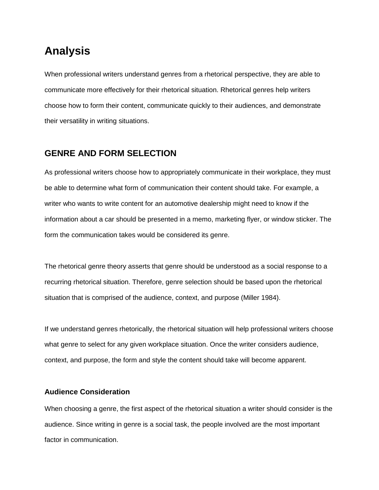## **Analysis**

When professional writers understand genres from a rhetorical perspective, they are able to communicate more effectively for their rhetorical situation. Rhetorical genres help writers choose how to form their content, communicate quickly to their audiences, and demonstrate their versatility in writing situations.

### **GENRE AND FORM SELECTION**

As professional writers choose how to appropriately communicate in their workplace, they must be able to determine what form of communication their content should take. For example, a writer who wants to write content for an automotive dealership might need to know if the information about a car should be presented in a memo, marketing flyer, or window sticker. The form the communication takes would be considered its genre.

The rhetorical genre theory asserts that genre should be understood as a social response to a recurring rhetorical situation. Therefore, genre selection should be based upon the rhetorical situation that is comprised of the audience, context, and purpose (Miller 1984).

If we understand genres rhetorically, the rhetorical situation will help professional writers choose what genre to select for any given workplace situation. Once the writer considers audience, context, and purpose, the form and style the content should take will become apparent.

#### **Audience Consideration**

When choosing a genre, the first aspect of the rhetorical situation a writer should consider is the audience. Since writing in genre is a social task, the people involved are the most important factor in communication.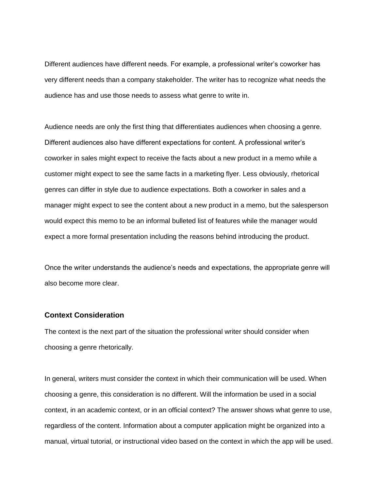Different audiences have different needs. For example, a professional writer's coworker has very different needs than a company stakeholder. The writer has to recognize what needs the audience has and use those needs to assess what genre to write in.

Audience needs are only the first thing that differentiates audiences when choosing a genre. Different audiences also have different expectations for content. A professional writer's coworker in sales might expect to receive the facts about a new product in a memo while a customer might expect to see the same facts in a marketing flyer. Less obviously, rhetorical genres can differ in style due to audience expectations. Both a coworker in sales and a manager might expect to see the content about a new product in a memo, but the salesperson would expect this memo to be an informal bulleted list of features while the manager would expect a more formal presentation including the reasons behind introducing the product.

Once the writer understands the audience's needs and expectations, the appropriate genre will also become more clear.

#### **Context Consideration**

The context is the next part of the situation the professional writer should consider when choosing a genre rhetorically.

In general, writers must consider the context in which their communication will be used. When choosing a genre, this consideration is no different. Will the information be used in a social context, in an academic context, or in an official context? The answer shows what genre to use, regardless of the content. Information about a computer application might be organized into a manual, virtual tutorial, or instructional video based on the context in which the app will be used.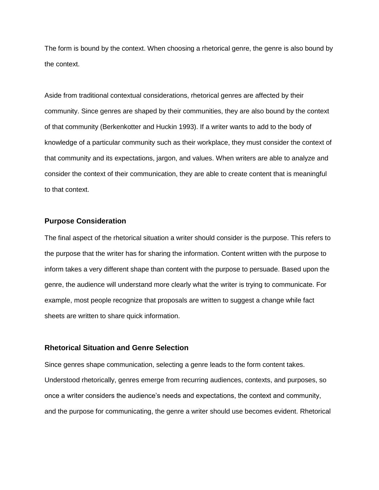The form is bound by the context. When choosing a rhetorical genre, the genre is also bound by the context.

Aside from traditional contextual considerations, rhetorical genres are affected by their community. Since genres are shaped by their communities, they are also bound by the context of that community (Berkenkotter and Huckin 1993). If a writer wants to add to the body of knowledge of a particular community such as their workplace, they must consider the context of that community and its expectations, jargon, and values. When writers are able to analyze and consider the context of their communication, they are able to create content that is meaningful to that context.

#### **Purpose Consideration**

The final aspect of the rhetorical situation a writer should consider is the purpose. This refers to the purpose that the writer has for sharing the information. Content written with the purpose to inform takes a very different shape than content with the purpose to persuade. Based upon the genre, the audience will understand more clearly what the writer is trying to communicate. For example, most people recognize that proposals are written to suggest a change while fact sheets are written to share quick information.

#### **Rhetorical Situation and Genre Selection**

Since genres shape communication, selecting a genre leads to the form content takes. Understood rhetorically, genres emerge from recurring audiences, contexts, and purposes, so once a writer considers the audience's needs and expectations, the context and community, and the purpose for communicating, the genre a writer should use becomes evident. Rhetorical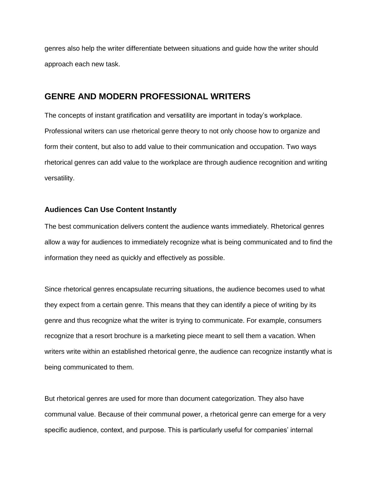genres also help the writer differentiate between situations and guide how the writer should approach each new task.

### **GENRE AND MODERN PROFESSIONAL WRITERS**

The concepts of instant gratification and versatility are important in today's workplace. Professional writers can use rhetorical genre theory to not only choose how to organize and form their content, but also to add value to their communication and occupation. Two ways rhetorical genres can add value to the workplace are through audience recognition and writing versatility.

#### **Audiences Can Use Content Instantly**

The best communication delivers content the audience wants immediately. Rhetorical genres allow a way for audiences to immediately recognize what is being communicated and to find the information they need as quickly and effectively as possible.

Since rhetorical genres encapsulate recurring situations, the audience becomes used to what they expect from a certain genre. This means that they can identify a piece of writing by its genre and thus recognize what the writer is trying to communicate. For example, consumers recognize that a resort brochure is a marketing piece meant to sell them a vacation. When writers write within an established rhetorical genre, the audience can recognize instantly what is being communicated to them.

But rhetorical genres are used for more than document categorization. They also have communal value. Because of their communal power, a rhetorical genre can emerge for a very specific audience, context, and purpose. This is particularly useful for companies' internal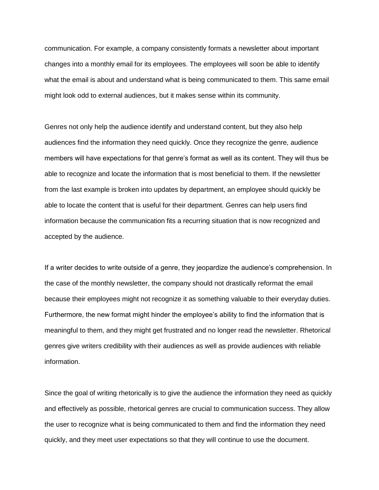communication. For example, a company consistently formats a newsletter about important changes into a monthly email for its employees. The employees will soon be able to identify what the email is about and understand what is being communicated to them. This same email might look odd to external audiences, but it makes sense within its community.

Genres not only help the audience identify and understand content, but they also help audiences find the information they need quickly. Once they recognize the genre, audience members will have expectations for that genre's format as well as its content. They will thus be able to recognize and locate the information that is most beneficial to them. If the newsletter from the last example is broken into updates by department, an employee should quickly be able to locate the content that is useful for their department. Genres can help users find information because the communication fits a recurring situation that is now recognized and accepted by the audience.

If a writer decides to write outside of a genre, they jeopardize the audience's comprehension. In the case of the monthly newsletter, the company should not drastically reformat the email because their employees might not recognize it as something valuable to their everyday duties. Furthermore, the new format might hinder the employee's ability to find the information that is meaningful to them, and they might get frustrated and no longer read the newsletter. Rhetorical genres give writers credibility with their audiences as well as provide audiences with reliable information.

Since the goal of writing rhetorically is to give the audience the information they need as quickly and effectively as possible, rhetorical genres are crucial to communication success. They allow the user to recognize what is being communicated to them and find the information they need quickly, and they meet user expectations so that they will continue to use the document.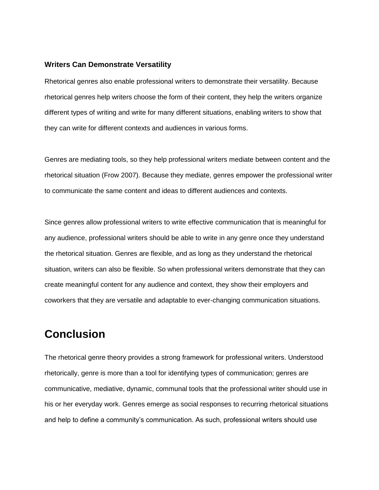#### **Writers Can Demonstrate Versatility**

Rhetorical genres also enable professional writers to demonstrate their versatility. Because rhetorical genres help writers choose the form of their content, they help the writers organize different types of writing and write for many different situations, enabling writers to show that they can write for different contexts and audiences in various forms.

Genres are mediating tools, so they help professional writers mediate between content and the rhetorical situation (Frow 2007). Because they mediate, genres empower the professional writer to communicate the same content and ideas to different audiences and contexts.

Since genres allow professional writers to write effective communication that is meaningful for any audience, professional writers should be able to write in any genre once they understand the rhetorical situation. Genres are flexible, and as long as they understand the rhetorical situation, writers can also be flexible. So when professional writers demonstrate that they can create meaningful content for any audience and context, they show their employers and coworkers that they are versatile and adaptable to ever-changing communication situations.

## **Conclusion**

The rhetorical genre theory provides a strong framework for professional writers. Understood rhetorically, genre is more than a tool for identifying types of communication; genres are communicative, mediative, dynamic, communal tools that the professional writer should use in his or her everyday work. Genres emerge as social responses to recurring rhetorical situations and help to define a community's communication. As such, professional writers should use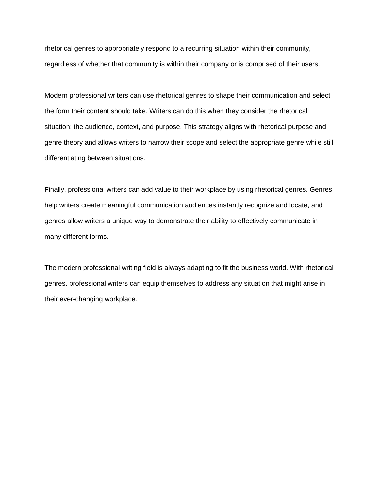rhetorical genres to appropriately respond to a recurring situation within their community, regardless of whether that community is within their company or is comprised of their users.

Modern professional writers can use rhetorical genres to shape their communication and select the form their content should take. Writers can do this when they consider the rhetorical situation: the audience, context, and purpose. This strategy aligns with rhetorical purpose and genre theory and allows writers to narrow their scope and select the appropriate genre while still differentiating between situations.

Finally, professional writers can add value to their workplace by using rhetorical genres. Genres help writers create meaningful communication audiences instantly recognize and locate, and genres allow writers a unique way to demonstrate their ability to effectively communicate in many different forms.

The modern professional writing field is always adapting to fit the business world. With rhetorical genres, professional writers can equip themselves to address any situation that might arise in their ever-changing workplace.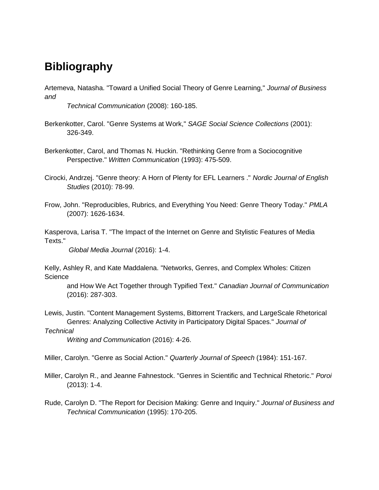## **Bibliography**

Artemeva, Natasha. "Toward a Unified Social Theory of Genre Learning," *Journal of Business and* 

*Technical Communication* (2008): 160-185.

- Berkenkotter, Carol. "Genre Systems at Work," *SAGE Social Science Collections* (2001): 326-349.
- Berkenkotter, Carol, and Thomas N. Huckin. "Rethinking Genre from a Sociocognitive Perspective." *Written Communication* (1993): 475-509.

Cirocki, Andrzej. "Genre theory: A Horn of Plenty for EFL Learners ." *Nordic Journal of English Studies* (2010): 78-99.

Frow, John. "Reproducibles, Rubrics, and Everything You Need: Genre Theory Today." *PMLA* (2007): 1626-1634.

Kasperova, Larisa T. "The Impact of the Internet on Genre and Stylistic Features of Media Texts."

*Global Media Journal* (2016): 1-4.

Kelly, Ashley R, and Kate Maddalena. "Networks, Genres, and Complex Wholes: Citizen **Science** 

and How We Act Together through Typified Text." *Canadian Journal of Communication* (2016): 287-303.

Lewis, Justin. "Content Management Systems, Bittorrent Trackers, and LargeScale Rhetorical Genres: Analyzing Collective Activity in Participatory Digital Spaces." *Journal of* 

*Technical* 

*Writing and Communication* (2016): 4-26.

Miller, Carolyn. "Genre as Social Action." *Quarterly Journal of Speech* (1984): 151-167.

Miller, Carolyn R., and Jeanne Fahnestock. "Genres in Scientific and Technical Rhetoric." *Poroi* (2013): 1-4.

Rude, Carolyn D. "The Report for Decision Making: Genre and Inquiry." *Journal of Business and Technical Communication* (1995): 170-205.